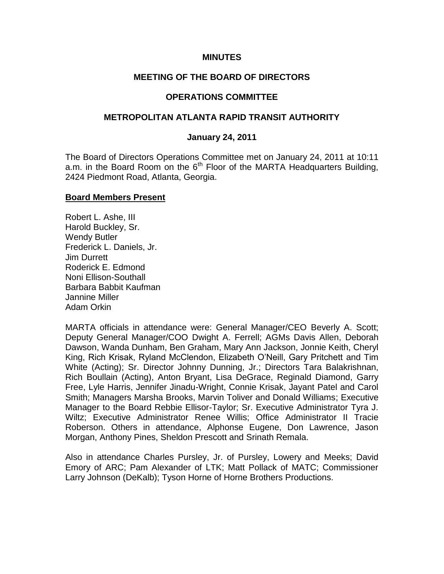#### **MINUTES**

## **MEETING OF THE BOARD OF DIRECTORS**

#### **OPERATIONS COMMITTEE**

#### **METROPOLITAN ATLANTA RAPID TRANSIT AUTHORITY**

#### **January 24, 2011**

The Board of Directors Operations Committee met on January 24, 2011 at 10:11 a.m. in the Board Room on the  $6<sup>th</sup>$  Floor of the MARTA Headquarters Building, 2424 Piedmont Road, Atlanta, Georgia.

#### **Board Members Present**

Robert L. Ashe, III Harold Buckley, Sr. Wendy Butler Frederick L. Daniels, Jr. Jim Durrett Roderick E. Edmond Noni Ellison-Southall Barbara Babbit Kaufman Jannine Miller Adam Orkin

MARTA officials in attendance were: General Manager/CEO Beverly A. Scott; Deputy General Manager/COO Dwight A. Ferrell; AGMs Davis Allen, Deborah Dawson, Wanda Dunham, Ben Graham, Mary Ann Jackson, Jonnie Keith, Cheryl King, Rich Krisak, Ryland McClendon, Elizabeth O'Neill, Gary Pritchett and Tim White (Acting); Sr. Director Johnny Dunning, Jr.; Directors Tara Balakrishnan, Rich Boullain (Acting), Anton Bryant, Lisa DeGrace, Reginald Diamond, Garry Free, Lyle Harris, Jennifer Jinadu-Wright, Connie Krisak, Jayant Patel and Carol Smith; Managers Marsha Brooks, Marvin Toliver and Donald Williams; Executive Manager to the Board Rebbie Ellisor-Taylor; Sr. Executive Administrator Tyra J. Wiltz; Executive Administrator Renee Willis; Office Administrator II Tracie Roberson. Others in attendance, Alphonse Eugene, Don Lawrence, Jason Morgan, Anthony Pines, Sheldon Prescott and Srinath Remala.

Also in attendance Charles Pursley, Jr. of Pursley, Lowery and Meeks; David Emory of ARC; Pam Alexander of LTK; Matt Pollack of MATC; Commissioner Larry Johnson (DeKalb); Tyson Horne of Horne Brothers Productions.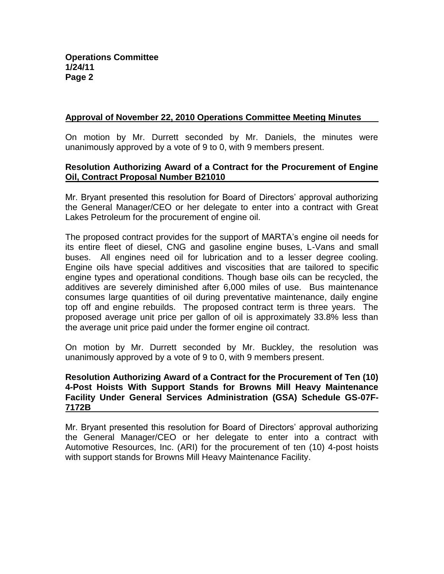## **Approval of November 22, 2010 Operations Committee Meeting Minutes**

On motion by Mr. Durrett seconded by Mr. Daniels, the minutes were unanimously approved by a vote of 9 to 0, with 9 members present.

### **Resolution Authorizing Award of a Contract for the Procurement of Engine Oil, Contract Proposal Number B21010**

Mr. Bryant presented this resolution for Board of Directors' approval authorizing the General Manager/CEO or her delegate to enter into a contract with Great Lakes Petroleum for the procurement of engine oil.

The proposed contract provides for the support of MARTA's engine oil needs for its entire fleet of diesel, CNG and gasoline engine buses, L-Vans and small buses. All engines need oil for lubrication and to a lesser degree cooling. Engine oils have special additives and viscosities that are tailored to specific engine types and operational conditions. Though base oils can be recycled, the additives are severely diminished after 6,000 miles of use. Bus maintenance consumes large quantities of oil during preventative maintenance, daily engine top off and engine rebuilds. The proposed contract term is three years. The proposed average unit price per gallon of oil is approximately 33.8% less than the average unit price paid under the former engine oil contract.

On motion by Mr. Durrett seconded by Mr. Buckley, the resolution was unanimously approved by a vote of 9 to 0, with 9 members present.

### **Resolution Authorizing Award of a Contract for the Procurement of Ten (10) 4-Post Hoists With Support Stands for Browns Mill Heavy Maintenance Facility Under General Services Administration (GSA) Schedule GS-07F-7172B**

Mr. Bryant presented this resolution for Board of Directors' approval authorizing the General Manager/CEO or her delegate to enter into a contract with Automotive Resources, Inc. (ARI) for the procurement of ten (10) 4-post hoists with support stands for Browns Mill Heavy Maintenance Facility.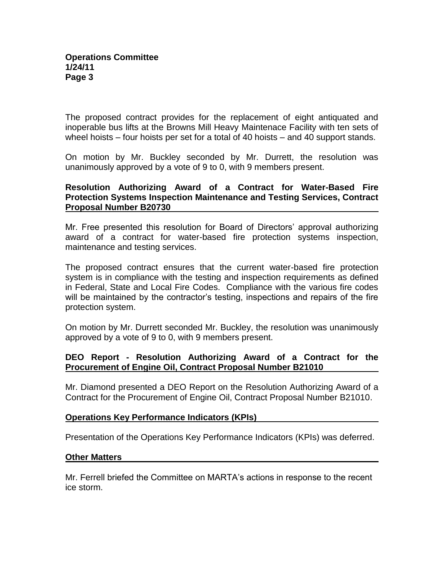The proposed contract provides for the replacement of eight antiquated and inoperable bus lifts at the Browns Mill Heavy Maintenace Facility with ten sets of wheel hoists – four hoists per set for a total of 40 hoists – and 40 support stands.

On motion by Mr. Buckley seconded by Mr. Durrett, the resolution was unanimously approved by a vote of 9 to 0, with 9 members present.

### **Resolution Authorizing Award of a Contract for Water-Based Fire Protection Systems Inspection Maintenance and Testing Services, Contract Proposal Number B20730**

Mr. Free presented this resolution for Board of Directors' approval authorizing award of a contract for water-based fire protection systems inspection, maintenance and testing services.

The proposed contract ensures that the current water-based fire protection system is in compliance with the testing and inspection requirements as defined in Federal, State and Local Fire Codes. Compliance with the various fire codes will be maintained by the contractor's testing, inspections and repairs of the fire protection system.

On motion by Mr. Durrett seconded Mr. Buckley, the resolution was unanimously approved by a vote of 9 to 0, with 9 members present.

# **DEO Report - Resolution Authorizing Award of a Contract for the Procurement of Engine Oil, Contract Proposal Number B21010**

Mr. Diamond presented a DEO Report on the Resolution Authorizing Award of a Contract for the Procurement of Engine Oil, Contract Proposal Number B21010.

# **Operations Key Performance Indicators (KPIs)**

Presentation of the Operations Key Performance Indicators (KPIs) was deferred.

# **Other Matters**

Mr. Ferrell briefed the Committee on MARTA's actions in response to the recent ice storm.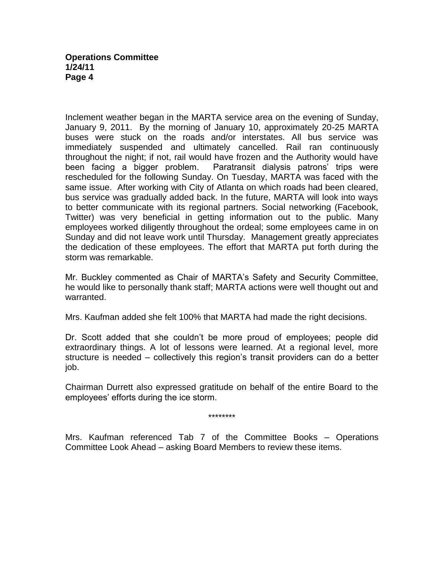## **Operations Committee 1/24/11 Page 4**

Inclement weather began in the MARTA service area on the evening of Sunday, January 9, 2011. By the morning of January 10, approximately 20-25 MARTA buses were stuck on the roads and/or interstates. All bus service was immediately suspended and ultimately cancelled. Rail ran continuously throughout the night; if not, rail would have frozen and the Authority would have been facing a bigger problem. Paratransit dialysis patrons' trips were rescheduled for the following Sunday. On Tuesday, MARTA was faced with the same issue. After working with City of Atlanta on which roads had been cleared, bus service was gradually added back. In the future, MARTA will look into ways to better communicate with its regional partners. Social networking (Facebook, Twitter) was very beneficial in getting information out to the public. Many employees worked diligently throughout the ordeal; some employees came in on Sunday and did not leave work until Thursday. Management greatly appreciates the dedication of these employees. The effort that MARTA put forth during the storm was remarkable.

Mr. Buckley commented as Chair of MARTA's Safety and Security Committee, he would like to personally thank staff; MARTA actions were well thought out and warranted.

Mrs. Kaufman added she felt 100% that MARTA had made the right decisions.

Dr. Scott added that she couldn't be more proud of employees; people did extraordinary things. A lot of lessons were learned. At a regional level, more structure is needed – collectively this region's transit providers can do a better job.

Chairman Durrett also expressed gratitude on behalf of the entire Board to the employees' efforts during the ice storm.

\*\*\*\*\*\*\*\*

Mrs. Kaufman referenced Tab 7 of the Committee Books – Operations Committee Look Ahead – asking Board Members to review these items.